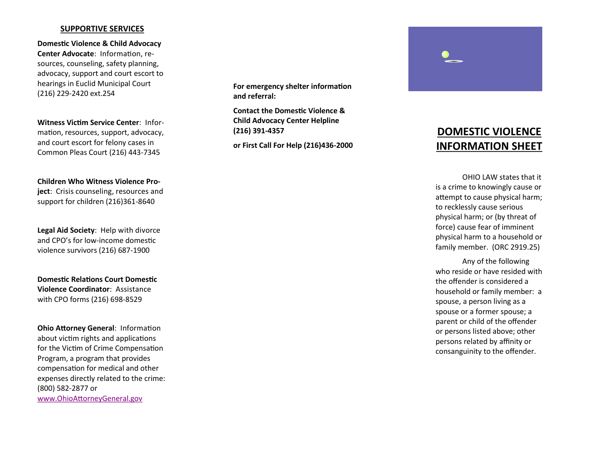### **SUPPORTIVE SERVICES**

**Domestic Violence & Child Advocacy Center Advocate**: Information, resources, counseling, safety planning, advocacy, support and court escort to hearings in Euclid Municipal Court (216) 229 -2420 ext.254

**Witness Victim Service Center**: Information, resources, support, advocacy, and court escort for felony cases in Common Pleas Court (216) 443 -7345

**Children Who Witness Violence Pro-**

**ject**: Crisis counseling, resources and support for children (216)361 -8640

**Legal Aid Society**: Help with divorce and CPO's for low -income domestic violence survivors (216) 687 -1900

**Domestic Relations Court Domestic Violence Coordinator**: Assistance with CPO forms (216) 698 -8529

**Ohio Attorney General**: Information about victim rights and applications for the Victim of Crime Compensation Program, a program that provides compensation for medical and other expenses directly related to the crime: (800) 582 -2877 or [www.OhioAttorneyGeneral.gov](http://www.ohioattorneygeneral.gov/)

**For emergency shelter information and referral:**

**Contact the Domestic Violence & Child Advocacy Center Helpline (216) 391 -4357** 

**or First Call For Help (216)436 -2000**



# **DOMESTIC VIOLENCE INFORMATION SHEET**

OHIO LAW states that it is a crime to knowingly cause or attempt to cause physical harm; to recklessly cause serious physical harm; or (by threat of force) cause fear of imminent physical harm to a household or family member. (ORC 2919.25)

Any of the following who reside or have resided with the offender is considered a household or family member: a spouse, a person living as a spouse or a former spouse; a parent or child of the offender or persons listed above; other persons related by affinity or consanguinity to the offender.